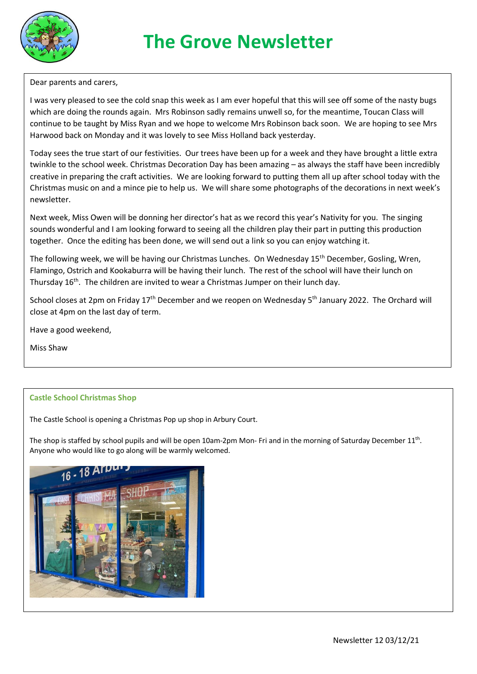

Dear parents and carers,

I was very pleased to see the cold snap this week as I am ever hopeful that this will see off some of the nasty bugs which are doing the rounds again. Mrs Robinson sadly remains unwell so, for the meantime, Toucan Class will continue to be taught by Miss Ryan and we hope to welcome Mrs Robinson back soon. We are hoping to see Mrs Harwood back on Monday and it was lovely to see Miss Holland back yesterday.

Today sees the true start of our festivities. Our trees have been up for a week and they have brought a little extra twinkle to the school week. Christmas Decoration Day has been amazing – as always the staff have been incredibly creative in preparing the craft activities. We are looking forward to putting them all up after school today with the Christmas music on and a mince pie to help us. We will share some photographs of the decorations in next week's newsletter.

Next week, Miss Owen will be donning her director's hat as we record this year's Nativity for you. The singing sounds wonderful and I am looking forward to seeing all the children play their part in putting this production together. Once the editing has been done, we will send out a link so you can enjoy watching it.

The following week, we will be having our Christmas Lunches. On Wednesday 15th December, Gosling, Wren, Flamingo, Ostrich and Kookaburra will be having their lunch. The rest of the school will have their lunch on Thursday  $16^{th}$ . The children are invited to wear a Christmas Jumper on their lunch day.

School closes at 2pm on Friday 17<sup>th</sup> December and we reopen on Wednesday 5<sup>th</sup> January 2022. The Orchard will close at 4pm on the last day of term.

Have a good weekend,

Miss Shaw

## **Castle School Christmas Shop**

The Castle School is opening a Christmas Pop up shop in Arbury Court.

The shop is staffed by school pupils and will be open 10am-2pm Mon- Fri and in the morning of Saturday December  $11<sup>th</sup>$ . Anyone who would like to go along will be warmly welcomed.